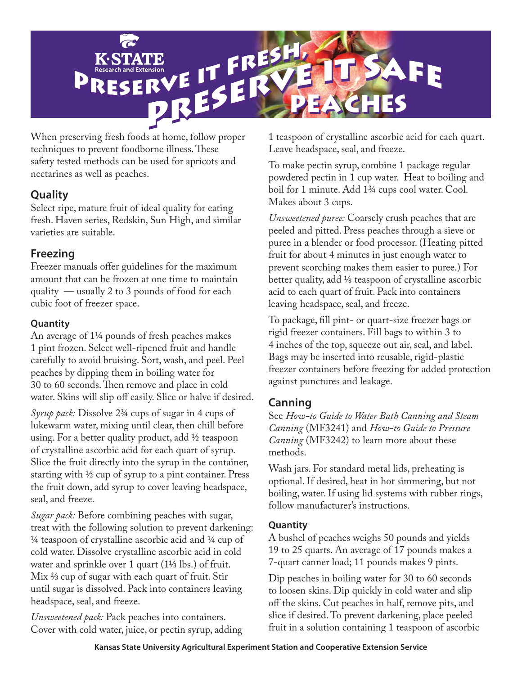

When preserving fresh foods at home, follow proper techniques to prevent foodborne illness. These safety tested methods can be used for apricots and nectarines as well as peaches.

# **Quality**

Select ripe, mature fruit of ideal quality for eating fresh. Haven series, Redskin, Sun High, and similar varieties are suitable.

# **Freezing**

Freezer manuals offer guidelines for the maximum amount that can be frozen at one time to maintain quality — usually 2 to 3 pounds of food for each cubic foot of freezer space.

### **Quantity**

An average of 1¼ pounds of fresh peaches makes 1 pint frozen. Select well-ripened fruit and handle carefully to avoid bruising. Sort, wash, and peel. Peel peaches by dipping them in boiling water for 30 to 60 seconds. Then remove and place in cold water. Skins will slip off easily. Slice or halve if desired.

*Syrup pack:* Dissolve 23/4 cups of sugar in 4 cups of lukewarm water, mixing until clear, then chill before using. For a better quality product, add ½ teaspoon of crystalline ascorbic acid for each quart of syrup. Slice the fruit directly into the syrup in the container, starting with ½ cup of syrup to a pint container. Press the fruit down, add syrup to cover leaving headspace, seal, and freeze.

*Sugar pack:* Before combining peaches with sugar, treat with the following solution to prevent darkening: ¼ teaspoon of crystalline ascorbic acid and ¼ cup of cold water. Dissolve crystalline ascorbic acid in cold water and sprinkle over 1 quart (1⅓ lbs.) of fruit. Mix ⅔ cup of sugar with each quart of fruit. Stir until sugar is dissolved. Pack into containers leaving headspace, seal, and freeze.

*Unsweetened pack:* Pack peaches into containers. Cover with cold water, juice, or pectin syrup, adding

1 teaspoon of crystalline ascorbic acid for each quart. Leave headspace, seal, and freeze.

To make pectin syrup, combine 1 package regular powdered pectin in 1 cup water. Heat to boiling and boil for 1 minute. Add 1<sup>34</sup> cups cool water. Cool. Makes about 3 cups.

*Unsweetened puree:* Coarsely crush peaches that are peeled and pitted. Press peaches through a sieve or puree in a blender or food processor. (Heating pitted fruit for about 4 minutes in just enough water to prevent scorching makes them easier to puree.) For better quality, add ⅛ teaspoon of crystalline ascorbic acid to each quart of fruit. Pack into containers leaving headspace, seal, and freeze.

To package, fill pint- or quart-size freezer bags or rigid freezer containers. Fill bags to within 3 to 4 inches of the top, squeeze out air, seal, and label. Bags may be inserted into reusable, rigid-plastic freezer containers before freezing for added protection against punctures and leakage.

## **Canning**

See *How-to Guide to Water Bath Canning and Steam Canning* (MF3241) and *How-to Guide to Pressure Canning* (MF3242) to learn more about these methods.

Wash jars. For standard metal lids, preheating is optional. If desired, heat in hot simmering, but not boiling, water. If using lid systems with rubber rings, follow manufacturer's instructions.

### **Quantity**

A bushel of peaches weighs 50 pounds and yields 19 to 25 quarts. An average of 17 pounds makes a 7-quart canner load; 11 pounds makes 9 pints.

Dip peaches in boiling water for 30 to 60 seconds to loosen skins. Dip quickly in cold water and slip off the skins. Cut peaches in half, remove pits, and slice if desired. To prevent darkening, place peeled fruit in a solution containing 1 teaspoon of ascorbic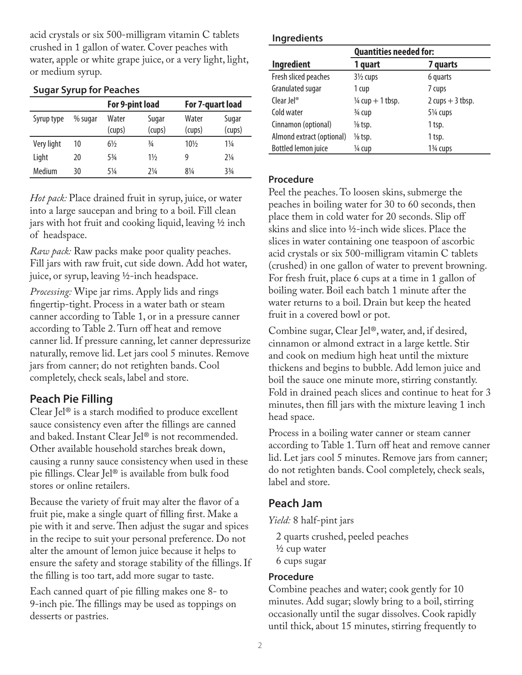acid crystals or six 500-milligram vitamin C tablets crushed in 1 gallon of water. Cover peaches with water, apple or white grape juice, or a very light, light, or medium syrup.

### **Sugar Syrup for Peaches**

|            |         | For 9-pint load |                 | For 7-quart load |                 |
|------------|---------|-----------------|-----------------|------------------|-----------------|
| Syrup type | % sugar | Water<br>(cups) | Sugar<br>(cups) | Water<br>(cups)  | Sugar<br>(cups) |
| Very light | 10      | $6\frac{1}{2}$  | $\frac{3}{4}$   | $10\%$           | $1\frac{1}{4}$  |
| Light      | 20      | 53/4            | $1\frac{1}{2}$  | 9                | $2\frac{1}{4}$  |
| Medium     | 30      | 5¼              | 2¼              | $8\frac{1}{4}$   | $3\frac{3}{4}$  |

*Hot pack:* Place drained fruit in syrup, juice, or water into a large saucepan and bring to a boil. Fill clean jars with hot fruit and cooking liquid, leaving ½ inch of headspace.

*Raw pack:* Raw packs make poor quality peaches. Fill jars with raw fruit, cut side down. Add hot water, juice, or syrup, leaving ½-inch headspace.

*Processing:* Wipe jar rims. Apply lids and rings fingertip-tight. Process in a water bath or steam canner according to Table 1, or in a pressure canner according to Table 2. Turn off heat and remove canner lid. If pressure canning, let canner depressurize naturally, remove lid. Let jars cool 5 minutes. Remove jars from canner; do not retighten bands. Cool completely, check seals, label and store.

## **Peach Pie Filling**

Clear Jel<sup>®</sup> is a starch modified to produce excellent sauce consistency even after the fillings are canned and baked. Instant Clear Jel® is not recommended. Other available household starches break down, causing a runny sauce consistency when used in these pie fillings. Clear Jel® is available from bulk food stores or online retailers.

Because the variety of fruit may alter the flavor of a fruit pie, make a single quart of filling first. Make a pie with it and serve. Then adjust the sugar and spices in the recipe to suit your personal preference. Do not alter the amount of lemon juice because it helps to ensure the safety and storage stability of the fillings. If the filling is too tart, add more sugar to taste.

Each canned quart of pie filling makes one 8- to 9-inch pie. The fillings may be used as toppings on desserts or pastries.

#### **Ingredients**

|                           | <b>Quantities needed for:</b> |                                    |  |  |  |
|---------------------------|-------------------------------|------------------------------------|--|--|--|
| <b>Ingredient</b>         | 1 quart                       | 7 quarts                           |  |  |  |
| Fresh sliced peaches      | 31/2 cups                     | 6 quarts                           |  |  |  |
| Granulated sugar          | 1 cup                         | 7 cups                             |  |  |  |
| Clear Jel <sup>®</sup>    | $\frac{1}{4}$ cup + 1 tbsp.   | 2 cups $+$ 3 tbsp.                 |  |  |  |
| Cold water                | 3/4 cup                       | 51/ <sub>4</sub> cups              |  |  |  |
| Cinnamon (optional)       | $\frac{1}{8}$ tsp.            | 1 tsp.                             |  |  |  |
| Almond extract (optional) | $\frac{1}{8}$ tsp.            | 1 tsp.                             |  |  |  |
| Bottled lemon juice       | 1⁄4 cup                       | 1 <sup>3</sup> / <sub>4</sub> cups |  |  |  |

#### **Procedure**

Peel the peaches. To loosen skins, submerge the peaches in boiling water for 30 to 60 seconds, then place them in cold water for 20 seconds. Slip off skins and slice into ½-inch wide slices. Place the slices in water containing one teaspoon of ascorbic acid crystals or six 500-milligram vitamin C tablets (crushed) in one gallon of water to prevent browning. For fresh fruit, place 6 cups at a time in 1 gallon of boiling water. Boil each batch 1 minute after the water returns to a boil. Drain but keep the heated fruit in a covered bowl or pot.

Combine sugar, Clear Jel®, water, and, if desired, cinnamon or almond extract in a large kettle. Stir and cook on medium high heat until the mixture thickens and begins to bubble. Add lemon juice and boil the sauce one minute more, stirring constantly. Fold in drained peach slices and continue to heat for 3 minutes, then fill jars with the mixture leaving 1 inch head space.

Process in a boiling water canner or steam canner according to Table 1. Turn off heat and remove canner lid. Let jars cool 5 minutes. Remove jars from canner; do not retighten bands. Cool completely, check seals, label and store.

### **Peach Jam**

*Yield:* 8 half-pint jars

- 2 quarts crushed, peeled peaches
- $\frac{1}{2}$  cup water
- 6 cups sugar

### **Procedure**

Combine peaches and water; cook gently for 10 minutes. Add sugar; slowly bring to a boil, stirring occasionally until the sugar dissolves. Cook rapidly until thick, about 15 minutes, stirring frequently to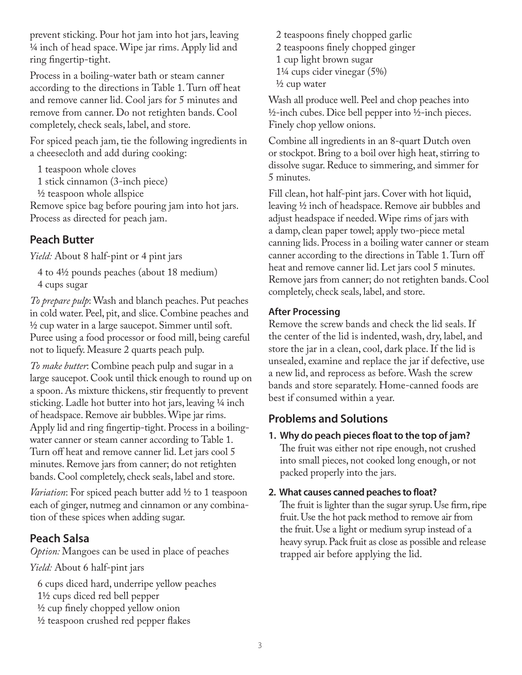prevent sticking. Pour hot jam into hot jars, leaving ¼ inch of head space. Wipe jar rims. Apply lid and ring fingertip-tight.

Process in a boiling-water bath or steam canner according to the directions in Table 1. Turn off heat and remove canner lid. Cool jars for 5 minutes and remove from canner. Do not retighten bands. Cool completely, check seals, label, and store.

For spiced peach jam, tie the following ingredients in a cheesecloth and add during cooking:

1 teaspoon whole cloves

1 stick cinnamon (3-inch piece)

½ teaspoon whole allspice

Remove spice bag before pouring jam into hot jars. Process as directed for peach jam.

# **Peach Butter**

*Yield:* About 8 half-pint or 4 pint jars

4 to 4½ pounds peaches (about 18 medium) 4 cups sugar

*To prepare pulp*: Wash and blanch peaches. Put peaches in cold water. Peel, pit, and slice. Combine peaches and  $\frac{1}{2}$  cup water in a large saucepot. Simmer until soft. Puree using a food processor or food mill, being careful not to liquefy. Measure 2 quarts peach pulp.

*To make butter*: Combine peach pulp and sugar in a large saucepot. Cook until thick enough to round up on a spoon. As mixture thickens, stir frequently to prevent sticking. Ladle hot butter into hot jars, leaving 1/4 inch of headspace. Remove air bubbles. Wipe jar rims. Apply lid and ring fingertip-tight. Process in a boilingwater canner or steam canner according to Table 1. Turn off heat and remove canner lid. Let jars cool 5 minutes. Remove jars from canner; do not retighten bands. Cool completely, check seals, label and store.

*Variation*: For spiced peach butter add <sup>1</sup>/2 to 1 teaspoon each of ginger, nutmeg and cinnamon or any combination of these spices when adding sugar.

# **Peach Salsa**

*Option:* Mangoes can be used in place of peaches

*Yield:* About 6 half-pint jars

6 cups diced hard, underripe yellow peaches 1½ cups diced red bell pepper ½ cup finely chopped yellow onion ½ teaspoon crushed red pepper flakes

2 teaspoons finely chopped garlic 2 teaspoons finely chopped ginger 1 cup light brown sugar 1¼ cups cider vinegar (5%)  $\frac{1}{2}$  cup water

Wash all produce well. Peel and chop peaches into  $\frac{1}{2}$ -inch cubes. Dice bell pepper into  $\frac{1}{2}$ -inch pieces. Finely chop yellow onions.

Combine all ingredients in an 8-quart Dutch oven or stockpot. Bring to a boil over high heat, stirring to dissolve sugar. Reduce to simmering, and simmer for 5 minutes.

Fill clean, hot half-pint jars. Cover with hot liquid, leaving ½ inch of headspace. Remove air bubbles and adjust headspace if needed. Wipe rims of jars with a damp, clean paper towel; apply two-piece metal canning lids. Process in a boiling water canner or steam canner according to the directions in Table 1. Turn off heat and remove canner lid. Let jars cool 5 minutes. Remove jars from canner; do not retighten bands. Cool completely, check seals, label, and store.

### **After Processing**

Remove the screw bands and check the lid seals. If the center of the lid is indented, wash, dry, label, and store the jar in a clean, cool, dark place. If the lid is unsealed, examine and replace the jar if defective, use a new lid, and reprocess as before. Wash the screw bands and store separately. Home-canned foods are best if consumed within a year.

# **Problems and Solutions**

**1. Why do peach pieces float to the top of jam?** The fruit was either not ripe enough, not crushed into small pieces, not cooked long enough, or not packed properly into the jars.

### **2. What causes canned peaches to float?**

The fruit is lighter than the sugar syrup. Use firm, ripe fruit. Use the hot pack method to remove air from the fruit. Use a light or medium syrup instead of a heavy syrup. Pack fruit as close as possible and release trapped air before applying the lid.